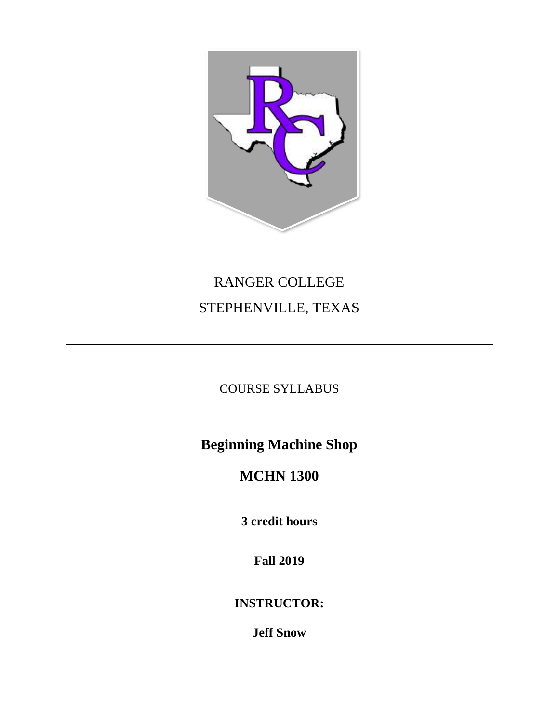

# RANGER COLLEGE STEPHENVILLE, TEXAS

## COURSE SYLLABUS

**Beginning Machine Shop**

## **MCHN 1300**

**3 credit hours**

**Fall 2019**

**INSTRUCTOR:**

**Jeff Snow**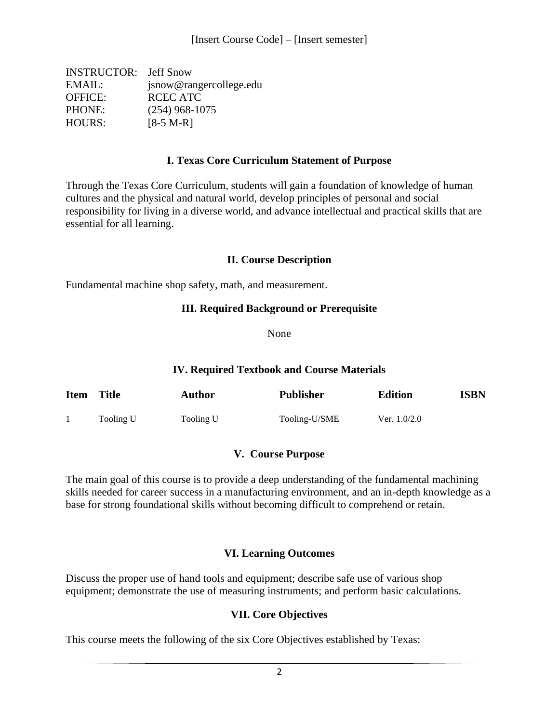| <b>INSTRUCTOR:</b> Jeff Snow |
|------------------------------|
| jsnow@rangercollege.edu      |
| RCEC ATC                     |
| $(254)$ 968-1075             |
| $[8-5 M-R]$                  |
|                              |

#### **I. Texas Core Curriculum Statement of Purpose**

Through the Texas Core Curriculum, students will gain a foundation of knowledge of human cultures and the physical and natural world, develop principles of personal and social responsibility for living in a diverse world, and advance intellectual and practical skills that are essential for all learning.

#### **II. Course Description**

Fundamental machine shop safety, math, and measurement.

#### **III. Required Background or Prerequisite**

None

#### **IV. Required Textbook and Course Materials**

| <b>Item</b> | <b>Title</b> | <b>Author</b> | <b>Publisher</b> | <b>Edition</b> | <b>ISBN</b> |
|-------------|--------------|---------------|------------------|----------------|-------------|
|             | Tooling U    | Tooling U     | Tooling-U/SME    | Ver. $1.0/2.0$ |             |

#### **V. Course Purpose**

The main goal of this course is to provide a deep understanding of the fundamental machining skills needed for career success in a manufacturing environment, and an in-depth knowledge as a base for strong foundational skills without becoming difficult to comprehend or retain.

#### **VI. Learning Outcomes**

Discuss the proper use of hand tools and equipment; describe safe use of various shop equipment; demonstrate the use of measuring instruments; and perform basic calculations.

#### **VII. Core Objectives**

This course meets the following of the six Core Objectives established by Texas: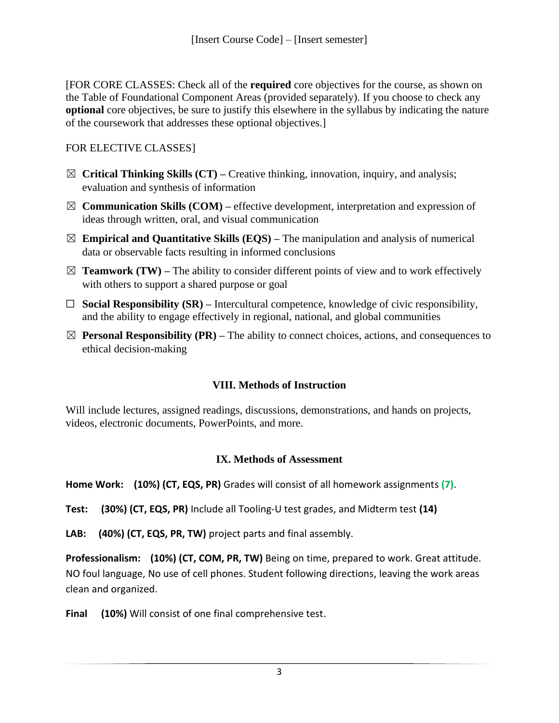[FOR CORE CLASSES: Check all of the **required** core objectives for the course, as shown on the Table of Foundational Component Areas (provided separately). If you choose to check any **optional** core objectives, be sure to justify this elsewhere in the syllabus by indicating the nature of the coursework that addresses these optional objectives.]

## FOR ELECTIVE CLASSES]

- ☒ **Critical Thinking Skills (CT) –** Creative thinking, innovation, inquiry, and analysis; evaluation and synthesis of information
- $\boxtimes$  **Communication Skills (COM)** effective development, interpretation and expression of ideas through written, oral, and visual communication
- $\boxtimes$  **Empirical and Quantitative Skills (EQS)** The manipulation and analysis of numerical data or observable facts resulting in informed conclusions
- $\boxtimes$  **Teamwork (TW)** The ability to consider different points of view and to work effectively with others to support a shared purpose or goal
- ☐ **Social Responsibility (SR) –** Intercultural competence, knowledge of civic responsibility, and the ability to engage effectively in regional, national, and global communities
- $\boxtimes$  **Personal Responsibility (PR)** The ability to connect choices, actions, and consequences to ethical decision-making

## **VIII. Methods of Instruction**

Will include lectures, assigned readings, discussions, demonstrations, and hands on projects, videos, electronic documents, PowerPoints, and more.

### **IX. Methods of Assessment**

**Home Work: (10%) (CT, EQS, PR)** Grades will consist of all homework assignments **(7)**.

**Test: (30%) (CT, EQS, PR)** Include all Tooling-U test grades, and Midterm test **(14)**

**LAB: (40%) (CT, EQS, PR, TW)** project parts and final assembly.

**Professionalism: (10%) (CT, COM, PR, TW)** Being on time, prepared to work. Great attitude. NO foul language, No use of cell phones. Student following directions, leaving the work areas clean and organized.

**Final (10%)** Will consist of one final comprehensive test.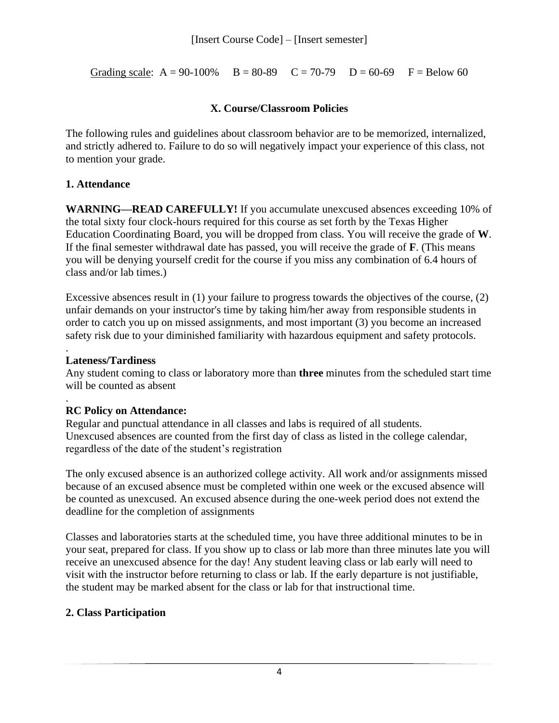Grading scale:  $A = 90-100\%$   $B = 80-89$   $C = 70-79$   $D = 60-69$   $F = Below 60$ 

#### **X. Course/Classroom Policies**

The following rules and guidelines about classroom behavior are to be memorized, internalized, and strictly adhered to. Failure to do so will negatively impact your experience of this class, not to mention your grade.

### **1. Attendance**

**WARNING—READ CAREFULLY!** If you accumulate unexcused absences exceeding 10% of the total sixty four clock-hours required for this course as set forth by the Texas Higher Education Coordinating Board, you will be dropped from class. You will receive the grade of **W**. If the final semester withdrawal date has passed, you will receive the grade of **F**. (This means you will be denying yourself credit for the course if you miss any combination of 6.4 hours of class and/or lab times.)

Excessive absences result in (1) your failure to progress towards the objectives of the course, (2) unfair demands on your instructor's time by taking him/her away from responsible students in order to catch you up on missed assignments, and most important (3) you become an increased safety risk due to your diminished familiarity with hazardous equipment and safety protocols.

#### . **Lateness/Tardiness**

Any student coming to class or laboratory more than **three** minutes from the scheduled start time will be counted as absent

#### . **RC Policy on Attendance:**

Regular and punctual attendance in all classes and labs is required of all students. Unexcused absences are counted from the first day of class as listed in the college calendar, regardless of the date of the student's registration

The only excused absence is an authorized college activity. All work and/or assignments missed because of an excused absence must be completed within one week or the excused absence will be counted as unexcused. An excused absence during the one-week period does not extend the deadline for the completion of assignments

Classes and laboratories starts at the scheduled time, you have three additional minutes to be in your seat, prepared for class. If you show up to class or lab more than three minutes late you will receive an unexcused absence for the day! Any student leaving class or lab early will need to visit with the instructor before returning to class or lab. If the early departure is not justifiable, the student may be marked absent for the class or lab for that instructional time.

## **2. Class Participation**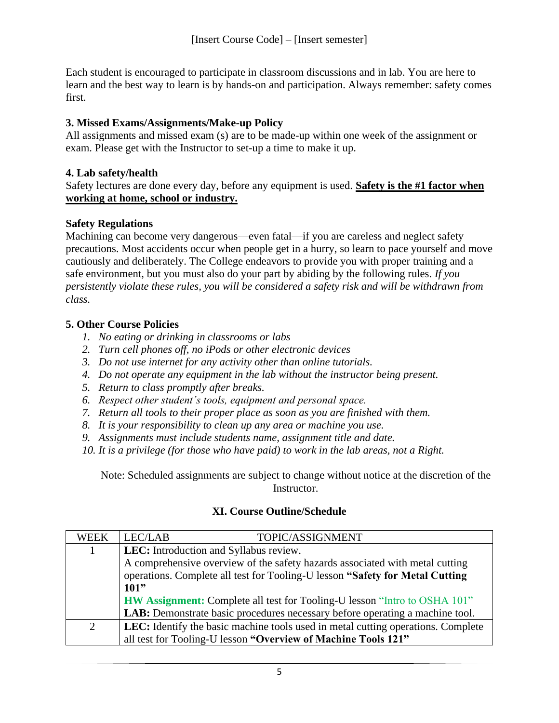Each student is encouraged to participate in classroom discussions and in lab. You are here to learn and the best way to learn is by hands-on and participation. Always remember: safety comes first.

## **3. Missed Exams/Assignments/Make-up Policy**

All assignments and missed exam (s) are to be made-up within one week of the assignment or exam. Please get with the Instructor to set-up a time to make it up.

### **4. Lab safety/health**

Safety lectures are done every day, before any equipment is used. **Safety is the #1 factor when working at home, school or industry.**

## **Safety Regulations**

Machining can become very dangerous—even fatal—if you are careless and neglect safety precautions. Most accidents occur when people get in a hurry, so learn to pace yourself and move cautiously and deliberately. The College endeavors to provide you with proper training and a safe environment, but you must also do your part by abiding by the following rules. *If you persistently violate these rules, you will be considered a safety risk and will be withdrawn from class.*

## **5. Other Course Policies**

- *1. No eating or drinking in classrooms or labs*
- *2. Turn cell phones off, no iPods or other electronic devices*
- *3. Do not use internet for any activity other than online tutorials.*
- *4. Do not operate any equipment in the lab without the instructor being present.*
- *5. Return to class promptly after breaks.*
- *6. Respect other student's tools, equipment and personal space.*
- *7. Return all tools to their proper place as soon as you are finished with them.*
- *8. It is your responsibility to clean up any area or machine you use.*
- *9. Assignments must include students name, assignment title and date.*
- *10. It is a privilege (for those who have paid) to work in the lab areas, not a Right.*

Note: Scheduled assignments are subject to change without notice at the discretion of the Instructor.

## **XI. Course Outline/Schedule**

| <b>WEEK</b> | LEC/LAB<br>TOPIC/ASSIGNMENT                                                         |  |  |  |
|-------------|-------------------------------------------------------------------------------------|--|--|--|
| 1           | LEC: Introduction and Syllabus review.                                              |  |  |  |
|             | A comprehensive overview of the safety hazards associated with metal cutting        |  |  |  |
|             | operations. Complete all test for Tooling-U lesson "Safety for Metal Cutting        |  |  |  |
|             | 101"                                                                                |  |  |  |
|             | <b>HW Assignment:</b> Complete all test for Tooling-U lesson "Intro to OSHA 101"    |  |  |  |
|             | <b>LAB:</b> Demonstrate basic procedures necessary before operating a machine tool. |  |  |  |
| 2           | LEC: Identify the basic machine tools used in metal cutting operations. Complete    |  |  |  |
|             | all test for Tooling-U lesson "Overview of Machine Tools 121"                       |  |  |  |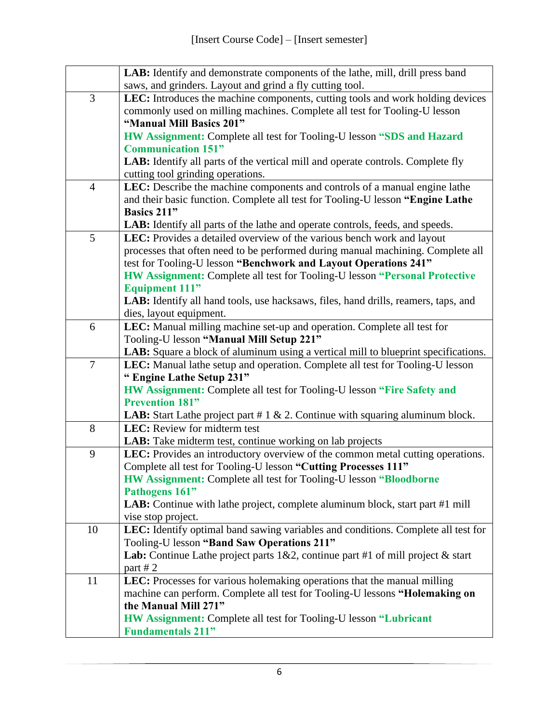|                | LAB: Identify and demonstrate components of the lathe, mill, drill press band                    |
|----------------|--------------------------------------------------------------------------------------------------|
|                | saws, and grinders. Layout and grind a fly cutting tool.                                         |
| $\overline{3}$ | LEC: Introduces the machine components, cutting tools and work holding devices                   |
|                | commonly used on milling machines. Complete all test for Tooling-U lesson                        |
|                | "Manual Mill Basics 201"                                                                         |
|                | HW Assignment: Complete all test for Tooling-U lesson "SDS and Hazard                            |
|                | <b>Communication 151"</b>                                                                        |
|                | LAB: Identify all parts of the vertical mill and operate controls. Complete fly                  |
|                | cutting tool grinding operations.                                                                |
| $\overline{4}$ | LEC: Describe the machine components and controls of a manual engine lathe                       |
|                | and their basic function. Complete all test for Tooling-U lesson "Engine Lathe                   |
|                | <b>Basics 211"</b>                                                                               |
|                | LAB: Identify all parts of the lathe and operate controls, feeds, and speeds.                    |
| 5              | LEC: Provides a detailed overview of the various bench work and layout                           |
|                | processes that often need to be performed during manual machining. Complete all                  |
|                | test for Tooling-U lesson "Benchwork and Layout Operations 241"                                  |
|                | HW Assignment: Complete all test for Tooling-U lesson "Personal Protective                       |
|                | <b>Equipment 111"</b>                                                                            |
|                | LAB: Identify all hand tools, use hacksaws, files, hand drills, reamers, taps, and               |
|                | dies, layout equipment.                                                                          |
| 6              | LEC: Manual milling machine set-up and operation. Complete all test for                          |
|                | Tooling-U lesson "Manual Mill Setup 221"                                                         |
|                | LAB: Square a block of aluminum using a vertical mill to blueprint specifications.               |
| $\overline{7}$ | LEC: Manual lathe setup and operation. Complete all test for Tooling-U lesson                    |
|                | "Engine Lathe Setup 231"                                                                         |
|                | HW Assignment: Complete all test for Tooling-U lesson "Fire Safety and<br><b>Prevention 181"</b> |
|                | <b>LAB:</b> Start Lathe project part # $1 \& 2$ . Continue with squaring aluminum block.         |
| 8              | LEC: Review for midterm test                                                                     |
|                | LAB: Take midterm test, continue working on lab projects                                         |
| 9              | LEC: Provides an introductory overview of the common metal cutting operations.                   |
|                | Complete all test for Tooling-U lesson "Cutting Processes 111"                                   |
|                | <b>HW Assignment: Complete all test for Tooling-U lesson "Bloodborne"</b>                        |
|                | Pathogens 161"                                                                                   |
|                | LAB: Continue with lathe project, complete aluminum block, start part #1 mill                    |
|                | vise stop project.                                                                               |
| 10             | LEC: Identify optimal band sawing variables and conditions. Complete all test for                |
|                | Tooling-U lesson "Band Saw Operations 211"                                                       |
|                | Lab: Continue Lathe project parts 1&2, continue part #1 of mill project & start                  |
|                | part #2                                                                                          |
| 11             | LEC: Processes for various holemaking operations that the manual milling                         |
|                | machine can perform. Complete all test for Tooling-U lessons "Holemaking on                      |
|                | the Manual Mill 271"                                                                             |
|                | <b>HW Assignment:</b> Complete all test for Tooling-U lesson "Lubricant"                         |
|                | <b>Fundamentals 211"</b>                                                                         |